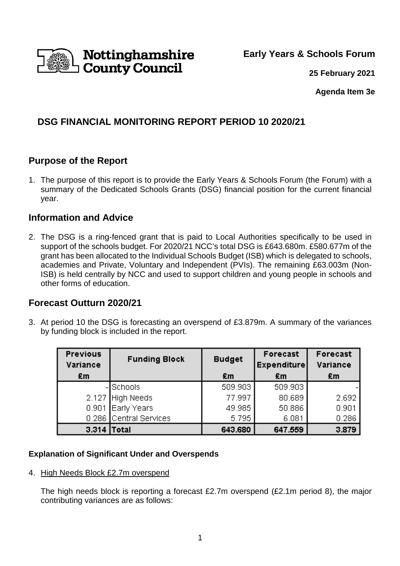

**Early Years & Schools Forum**

**25 February 2021**

**Agenda Item 3e** 

# **DSG FINANCIAL MONITORING REPORT PERIOD 10 2020/21**

## **Purpose of the Report**

1. The purpose of this report is to provide the Early Years & Schools Forum (the Forum) with a summary of the Dedicated Schools Grants (DSG) financial position for the current financial year.

## **Information and Advice**

2. The DSG is a ring-fenced grant that is paid to Local Authorities specifically to be used in support of the schools budget. For 2020/21 NCC's total DSG is £643.680m. £580.677m of the grant has been allocated to the Individual Schools Budget (ISB) which is delegated to schools, academies and Private, Voluntary and Independent (PVIs). The remaining £63.003m (Non-ISB) is held centrally by NCC and used to support children and young people in schools and other forms of education.

## **Forecast Outturn 2020/21**

3. At period 10 the DSG is forecasting an overspend of £3.879m. A summary of the variances by funding block is included in the report.

| <b>Previous</b><br>Variance | <b>Funding Block</b>   | Forecast<br><b>Budget</b><br><b>Expenditure</b> |         | Forecast<br>Variance |
|-----------------------------|------------------------|-------------------------------------------------|---------|----------------------|
| £m                          |                        | £m                                              | £m      | £m                   |
|                             | -ISchools              | 509.903                                         | 509.903 |                      |
|                             | 2.127 High Needs       | 77.997                                          | 80.689  | 2.692                |
|                             | 0.901 Early Years      | 49.985                                          | 50.886  | 0.901                |
|                             | 0.286 Central Services | 5.795                                           | 6.081   | 0.286                |
| 3.314                       | <b>Total</b>           | 643.680                                         | 647.559 | 3.879                |

### **Explanation of Significant Under and Overspends**

4. High Needs Block £2.7m overspend

The high needs block is reporting a forecast £2.7m overspend (£2.1m period 8), the major contributing variances are as follows: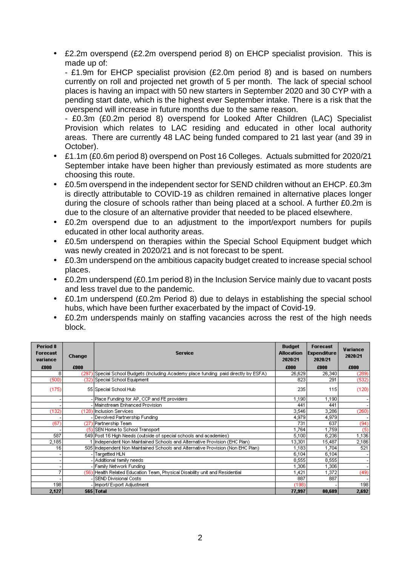• £2.2m overspend (£2.2m overspend period 8) on EHCP specialist provision. This is made up of:

- £1.9m for EHCP specialist provision (£2.0m period 8) and is based on numbers currently on roll and projected net growth of 5 per month. The lack of special school places is having an impact with 50 new starters in September 2020 and 30 CYP with a pending start date, which is the highest ever September intake. There is a risk that the overspend will increase in future months due to the same reason.

- £0.3m (£0.2m period 8) overspend for Looked After Children (LAC) Specialist Provision which relates to LAC residing and educated in other local authority areas. There are currently 48 LAC being funded compared to 21 last year (and 39 in October).

- £1.1m (£0.6m period 8) overspend on Post 16 Colleges. Actuals submitted for 2020/21 September intake have been higher than previously estimated as more students are choosing this route.
- £0.5m overspend in the independent sector for SEND children without an EHCP. £0.3m is directly attributable to COVID-19 as children remained in alternative places longer during the closure of schools rather than being placed at a school. A further £0.2m is due to the closure of an alternative provider that needed to be placed elsewhere.
- £0.2m overspend due to an adjustment to the import/export numbers for pupils educated in other local authority areas.
- £0.5m underspend on therapies within the Special School Equipment budget which was newly created in 2020/21 and is not forecast to be spent.
- £0.3m underspend on the ambitious capacity budget created to increase special school places.
- £0.2m underspend (£0.1m period 8) in the Inclusion Service mainly due to vacant posts and less travel due to the pandemic.
- £0.1m underspend (£0.2m Period 8) due to delays in establishing the special school hubs, which have been further exacerbated by the impact of Covid-19.
- £0.2m underspends mainly on staffing vacancies across the rest of the high needs block.

| Period 8<br><b>Forecast</b><br>variance | <b>Change</b> | <b>Service</b>                                                                   |        | Forecast<br><b>Expenditure</b><br>2020/21 | Variance<br>2020/21 |
|-----------------------------------------|---------------|----------------------------------------------------------------------------------|--------|-------------------------------------------|---------------------|
| £000                                    | £000          |                                                                                  | £000   | £000                                      | £000                |
| 8                                       | (297          | [Special School Budgets (Including Academy place funding ipaid directly by ESFA) | 26,629 | 26,340                                    | (289)               |
| (500)                                   |               | (32) Special School Equipment                                                    | 823    | 291                                       | (532)               |
| (175)                                   |               | 55 Special School Hub                                                            | 235    | 115                                       | (120)               |
|                                         |               | Place Funding for AP, CCP and FE providers                                       | 1,190  | 1,190                                     |                     |
|                                         |               | Mainstream Enhanced Provision                                                    | 441    | 441                                       |                     |
| (132)                                   |               | (128) Inclusion Services                                                         | 3,546  | 3,286                                     | (260)               |
|                                         |               | Devolved Partnership Funding                                                     | 4,979  | 4,979                                     |                     |
| (67)                                    |               | (27) Partnership Team                                                            | 731    | 637                                       | (94)                |
|                                         |               | (5) SEN Home to School Transport                                                 | 1,764  | 1,759                                     | (5)                 |
| 587                                     |               | 549 Post 16 High Needs (outside of special schools and academies)                | 5,100  | 6,236                                     | 1,136               |
| 2,185                                   |               | 1  Independent Non Maintained Schools and Alternative Provision (EHC Plan).      | 13,301 | 15,487                                    | 2,186               |
| 16                                      |               | 505 Independent Non Maintained Schools and Alternative Provision (Non EHC Plan)  | 1,183  | 1,704                                     | 521                 |
|                                         |               | Targetted HLN                                                                    | 6,104  | 6,104                                     |                     |
|                                         |               | Additional family needs                                                          | 8,555  | 8,555                                     |                     |
|                                         |               | Family Network Funding                                                           | 1,306  | 1,306                                     |                     |
|                                         |               | (56) Health Related Education Team, Physical Disability unit and Residential     | ,421   | 1,372                                     | (49)                |
|                                         |               | SEND Divisional Costs                                                            | 887    | 887                                       |                     |
| 198                                     |               | Import/Export Adjustment                                                         | (198)  |                                           | 198                 |
| 2,127                                   |               | 565 Total                                                                        | 77,997 | 80,689                                    | 2,692               |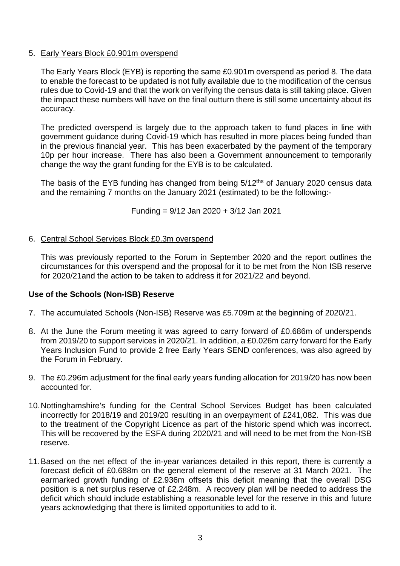### 5. Early Years Block £0.901m overspend

The Early Years Block (EYB) is reporting the same £0.901m overspend as period 8. The data to enable the forecast to be updated is not fully available due to the modification of the census rules due to Covid-19 and that the work on verifying the census data is still taking place. Given the impact these numbers will have on the final outturn there is still some uncertainty about its accuracy.

The predicted overspend is largely due to the approach taken to fund places in line with government guidance during Covid-19 which has resulted in more places being funded than in the previous financial year. This has been exacerbated by the payment of the temporary 10p per hour increase. There has also been a Government announcement to temporarily change the way the grant funding for the EYB is to be calculated.

The basis of the EYB funding has changed from being 5/12<sup>ths</sup> of January 2020 census data and the remaining 7 months on the January 2021 (estimated) to be the following:-

Funding = 9/12 Jan 2020 + 3/12 Jan 2021

### 6. Central School Services Block £0.3m overspend

This was previously reported to the Forum in September 2020 and the report outlines the circumstances for this overspend and the proposal for it to be met from the Non ISB reserve for 2020/21and the action to be taken to address it for 2021/22 and beyond.

#### **Use of the Schools (Non-ISB) Reserve**

- 7. The accumulated Schools (Non-ISB) Reserve was £5.709m at the beginning of 2020/21.
- 8. At the June the Forum meeting it was agreed to carry forward of £0.686m of underspends from 2019/20 to support services in 2020/21. In addition, a £0.026m carry forward for the Early Years Inclusion Fund to provide 2 free Early Years SEND conferences, was also agreed by the Forum in February.
- 9. The £0.296m adjustment for the final early years funding allocation for 2019/20 has now been accounted for.
- 10. Nottinghamshire's funding for the Central School Services Budget has been calculated incorrectly for 2018/19 and 2019/20 resulting in an overpayment of £241,082. This was due to the treatment of the Copyright Licence as part of the historic spend which was incorrect. This will be recovered by the ESFA during 2020/21 and will need to be met from the Non-ISB reserve.
- 11. Based on the net effect of the in-year variances detailed in this report, there is currently a forecast deficit of £0.688m on the general element of the reserve at 31 March 2021. The earmarked growth funding of £2.936m offsets this deficit meaning that the overall DSG position is a net surplus reserve of £2.248m. A recovery plan will be needed to address the deficit which should include establishing a reasonable level for the reserve in this and future years acknowledging that there is limited opportunities to add to it.